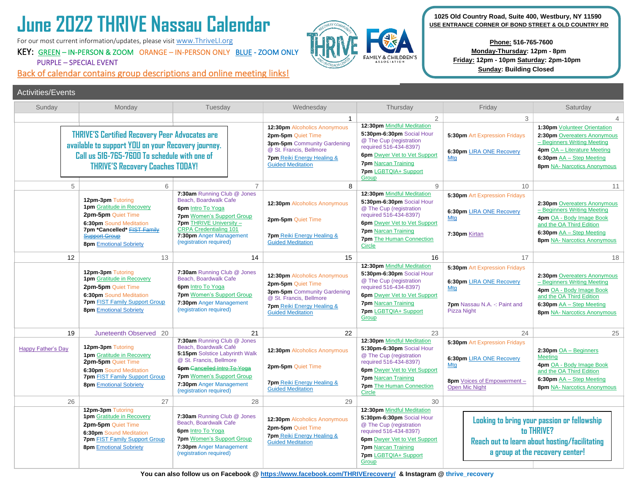# **June 2022 THRIVE Nassau Calendar**

For our most current information/updates, please visit [www.ThriveLI.org](http://www.thriveli.org/)

 Activities/Events

# KEY: GREEN – IN-PERSON & ZOOM ORANGE – IN-PERSON ONLY BLUE - ZOOM ONLY PURPLE – SPECIAL EVENT

Back of calendar contains group descriptions and online meeting links!



 **1025 Old Country Road, Suite 400, Westbury, NY 11590 USE ENTRANCE CORNER OF BOND STREET & OLD COUNTRY RD**

> **Phone: 516-765-7600 Monday-Thursday: 12pm - 8pm Friday: 12pm - 10pm Saturday: 2pm-10pm Sunday: Building Closed**

| Sunday                                                                                                                                                                                                 | Monday                                                                                                                                                                                                       | Tuesday                                                                                                                                                                                                                                           | Wednesday                                                                                                                                                                                     | Thursday                                                                                                                                                                                                                              | Friday                                                                                                                                        | Saturday                                                                                                                                                                                                      |
|--------------------------------------------------------------------------------------------------------------------------------------------------------------------------------------------------------|--------------------------------------------------------------------------------------------------------------------------------------------------------------------------------------------------------------|---------------------------------------------------------------------------------------------------------------------------------------------------------------------------------------------------------------------------------------------------|-----------------------------------------------------------------------------------------------------------------------------------------------------------------------------------------------|---------------------------------------------------------------------------------------------------------------------------------------------------------------------------------------------------------------------------------------|-----------------------------------------------------------------------------------------------------------------------------------------------|---------------------------------------------------------------------------------------------------------------------------------------------------------------------------------------------------------------|
| <b>THRIVE'S Certified Recovery Peer Advocates are</b><br>available to support YOU on your Recovery journey.<br>Call us 516-765-7600 To schedule with one of<br><b>THRIVE'S Recovery Coaches TODAY!</b> |                                                                                                                                                                                                              |                                                                                                                                                                                                                                                   | $\mathbf{1}$<br>12:30pm Alcoholics Anonymous<br>2pm-5pm Quiet Time<br>3pm-5pm Community Gardening<br>@ St. Francis, Bellmore<br><b>7pm</b> Reiki Energy Healing &<br><b>Guided Meditation</b> | $\overline{2}$<br>12:30pm Mindful Meditation<br>5:30pm-6:30pm Social Hour<br>@ The Cup (registration<br>required 516-434-8397)<br><b>6pm</b> Dwyer Vet to Vet Support<br><b>7pm</b> Narcan Training<br>7pm LGBTQIA+ Support<br>Group  | 3<br><b>5:30pm Art Expression Fridays</b><br>6:30pm LIRA ONE Recovery<br>Mtg                                                                  | $\overline{4}$<br>1:30pm Volunteer Orientation<br>2:30pm Overeaters Anonymous<br>- Beginners Writing Meeting<br>4pm OA - Literature Meeting<br>6:30pm AA - Step Meeting<br><b>8pm</b> NA- Narcotics Anonymous |
| 5                                                                                                                                                                                                      | 6                                                                                                                                                                                                            | $\overline{7}$                                                                                                                                                                                                                                    | 8                                                                                                                                                                                             | 9                                                                                                                                                                                                                                     | 10                                                                                                                                            | 11                                                                                                                                                                                                            |
|                                                                                                                                                                                                        | 12pm-3pm Tutoring<br><b>1pm</b> Gratitude in Recovery<br>2pm-5pm Quiet Time<br><b>6:30pm Sound Meditation</b><br>7pm *Cancelled* <b>FIST Family</b><br><b>Support Group</b><br><b>8pm</b> Emotional Sobriety | 7:30am Running Club @ Jones<br>Beach, Boardwalk Cafe<br><b>6pm</b> Intro To Yoga<br><b>7pm</b> Women's Support Group<br>7pm THRIVE University -<br><b>CRPA Credentialing 101</b><br>7:30pm Anger Management<br>(registration required)            | 12:30pm Alcoholics Anonymous<br>2pm-5pm Quiet Time<br><b>7pm</b> Reiki Energy Healing &<br><b>Guided Meditation</b>                                                                           | 12:30pm Mindful Meditation<br>5:30pm-6:30pm Social Hour<br>@ The Cup (registration<br>required 516-434-8397)<br><b>6pm</b> Dwyer Vet to Vet Support<br><b>7pm</b> Narcan Training<br><b>7pm</b> The Human Connection<br>Circle        | <b>5:30pm Art Expression Fridays</b><br>6:30pm LIRA ONE Recovery<br>Mtg<br>7:30pm Kirtan                                                      | 2:30pm Overeaters Anonymous<br>- Beginners Writing Meeting<br>4pm OA - Body Image Book<br>and the OA Third Edition<br>6:30pm $AA - Step$ Meeting<br><b>8pm NA- Narcotics Anonymous</b>                        |
| 12                                                                                                                                                                                                     | 13                                                                                                                                                                                                           | 14                                                                                                                                                                                                                                                | 15                                                                                                                                                                                            | 16                                                                                                                                                                                                                                    | 17                                                                                                                                            | 18                                                                                                                                                                                                            |
|                                                                                                                                                                                                        | 12pm-3pm Tutoring<br><b>1pm</b> Gratitude in Recovery<br>2pm-5pm Quiet Time<br><b>6:30pm Sound Meditation</b><br><b>7pm FIST Family Support Group</b><br><b>8pm Emotional Sobriety</b>                       | 7:30am Running Club @ Jones<br>Beach, Boardwalk Cafe<br><b>6pm</b> Intro To Yoga<br><b>7pm</b> Women's Support Group<br>7:30pm Anger Management<br>(registration required)                                                                        | 12:30pm Alcoholics Anonymous<br>2pm-5pm Quiet Time<br>3pm-5pm Community Gardening<br>@ St. Francis, Bellmore<br><b>7pm</b> Reiki Energy Healing &<br><b>Guided Meditation</b>                 | 12:30pm Mindful Meditation<br>5:30pm-6:30pm Social Hour<br>@ The Cup (registration<br>required 516-434-8397)<br><b>6pm</b> Dwyer Vet to Vet Support<br><b>7pm</b> Narcan Training<br>7pm LGBTQIA+ Support<br>Group                    | 5:30pm Art Expression Fridays<br>6:30pm LIRA ONE Recovery<br>Mtg<br><b>7pm</b> Nassau N.A. -: Paint and<br><b>Pizza Night</b>                 | 2:30pm Overeaters Anonymous<br>- Beginners Writing Meeting<br>4pm OA - Body Image Book<br>and the OA Third Edition<br>6:30pm AA - Step Meeting<br><b>8pm</b> NA- Narcotics Anonymous                          |
| 19                                                                                                                                                                                                     | Juneteenth Observed 20                                                                                                                                                                                       | 21                                                                                                                                                                                                                                                | 22                                                                                                                                                                                            | 23                                                                                                                                                                                                                                    | 24                                                                                                                                            | 25                                                                                                                                                                                                            |
| <b>Happy Father's Day</b>                                                                                                                                                                              | 12pm-3pm Tutoring<br><b>1pm</b> Gratitude in Recovery<br>2pm-5pm Quiet Time<br>6:30pm Sound Meditation<br><b>7pm FIST Family Support Group</b><br><b>8pm</b> Emotional Sobriety                              | 7:30am Running Club @ Jones<br>Beach, Boardwalk Café<br>5:15pm Solstice Labyrinth Walk<br>@ St. Francis, Bellmore<br><b>6pm</b> Cancelled Intro To Yoga<br><b>7pm</b> Women's Support Group<br>7:30pm Anger Management<br>(registration required) | 12:30pm Alcoholics Anonymous<br>2pm-5pm Quiet Time<br><b>7pm</b> Reiki Energy Healing &<br><b>Guided Meditation</b>                                                                           | 12:30pm Mindful Meditation<br>5:30pm-6:30pm Social Hour<br>@ The Cup (registration<br>required 516-434-8397)<br><b>6pm</b> Dwyer Vet to Vet Support<br><b>7pm</b> Narcan Training<br><b>7pm</b> The Human Connection<br><b>Circle</b> | 5:30pm Art Expression Fridays<br>6:30pm LIRA ONE Recovery<br>Mta<br>8pm Voices of Empowerment -<br><b>Open Mic Night</b>                      | $2:30$ pm $OA - Beqinners$<br><b>Meeting</b><br>4pm OA - Body Image Book<br>and the OA Third Edition<br>6:30pm AA - Step Meeting<br><b>8pm</b> NA- Narcotics Anonymous                                        |
| 26                                                                                                                                                                                                     | 27                                                                                                                                                                                                           | 28                                                                                                                                                                                                                                                | 29                                                                                                                                                                                            | 30                                                                                                                                                                                                                                    |                                                                                                                                               |                                                                                                                                                                                                               |
|                                                                                                                                                                                                        | 12pm-3pm Tutoring<br><b>1pm</b> Gratitude in Recovery<br>2pm-5pm Quiet Time<br><b>6:30pm Sound Meditation</b><br><b>7pm</b> FIST Family Support Group<br><b>8pm</b> Emotional Sobriety                       | 7:30am Running Club @ Jones<br>Beach, Boardwalk Cafe<br>6pm Intro To Yoga<br><b>7pm</b> Women's Support Group<br>7:30pm Anger Management<br>(registration required)                                                                               | 12:30pm Alcoholics Anonymous<br>2pm-5pm Quiet Time<br><b>7pm</b> Reiki Energy Healing &<br><b>Guided Meditation</b>                                                                           | 12:30pm Mindful Meditation<br>5:30pm-6:30pm Social Hour<br>@ The Cup (registration<br>required 516-434-8397)<br>6pm Dwyer Vet to Vet Support<br><b>7pm</b> Narcan Training<br>7pm LGBTQIA+ Support<br>Group                           | Looking to bring your passion or fellowship<br>to THRIVE?<br>Reach out to learn about hosting/facilitating<br>a group at the recovery center! |                                                                                                                                                                                                               |

**You can also follow us on Facebook [@ https://www.facebook.com/THRIVErecovery/](https://www.facebook.com/THRIVErecovery/) & Instagram @ thrive\_recovery**